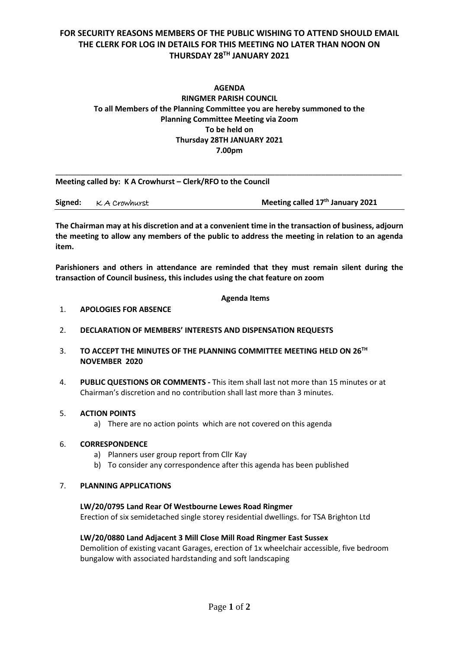# **FOR SECURITY REASONS MEMBERS OF THE PUBLIC WISHING TO ATTEND SHOULD EMAIL THE CLERK FOR LOG IN DETAILS FOR THIS MEETING NO LATER THAN NOON ON THURSDAY 28 TH JANUARY 2021**

# **AGENDA RINGMER PARISH COUNCIL To all Members of the Planning Committee you are hereby summoned to the Planning Committee Meeting via Zoom To be held on Thursday 28TH JANUARY 2021 7.00pm**

\_\_\_\_\_\_\_\_\_\_\_\_\_\_\_\_\_\_\_\_\_\_\_\_\_\_\_\_\_\_\_\_\_\_\_\_\_\_\_\_\_\_\_\_\_\_\_\_\_\_\_\_\_\_\_\_\_\_\_\_\_\_\_\_\_\_\_\_\_\_\_\_\_\_\_\_\_\_\_\_\_\_

**Meeting called by: K A Crowhurst – Clerk/RFO to the Council** 

|  | Signed: K A Crowhurst | Meeting called 17 <sup>th</sup> January 2021 |
|--|-----------------------|----------------------------------------------|
|--|-----------------------|----------------------------------------------|

**The Chairman may at his discretion and at a convenient time in the transaction of business, adjourn the meeting to allow any members of the public to address the meeting in relation to an agenda item.**

**Parishioners and others in attendance are reminded that they must remain silent during the transaction of Council business, this includes using the chat feature on zoom**

# **Agenda Items**

# 1. **APOLOGIES FOR ABSENCE**

- 2. **DECLARATION OF MEMBERS' INTERESTS AND DISPENSATION REQUESTS**
- 3. **TO ACCEPT THE MINUTES OF THE PLANNING COMMITTEE MEETING HELD ON 26TH NOVEMBER 2020**
- 4. **PUBLIC QUESTIONS OR COMMENTS -** This item shall last not more than 15 minutes or at Chairman's discretion and no contribution shall last more than 3 minutes.

# 5. **ACTION POINTS**

a) There are no action points which are not covered on this agenda

# 6. **CORRESPONDENCE**

- a) Planners user group report from Cllr Kay
- b) To consider any correspondence after this agenda has been published

#### 7. **PLANNING APPLICATIONS**

# **LW/20/0795 Land Rear Of Westbourne Lewes Road Ringmer**

Erection of six semidetached single storey residential dwellings. for TSA Brighton Ltd

# **LW/20/0880 Land Adjacent 3 Mill Close Mill Road Ringmer East Sussex**

Demolition of existing vacant Garages, erection of 1x wheelchair accessible, five bedroom bungalow with associated hardstanding and soft landscaping